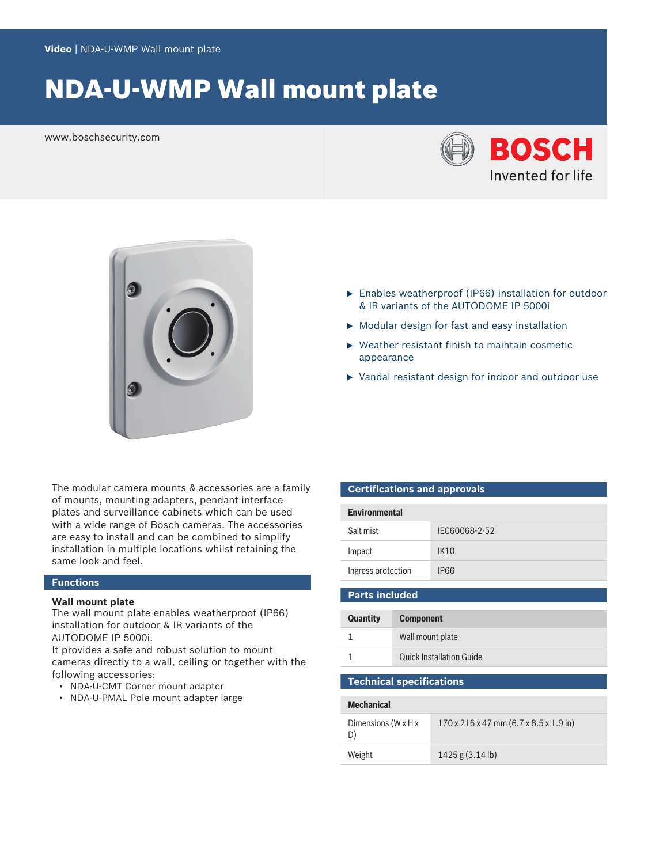# NDA-U-WMP Wall mount plate

www.boschsecurity.com





- $\blacktriangleright$  Enables weatherproof (IP66) installation for outdoor & IR variants of the AUTODOME IP 5000i
- $\blacktriangleright$  Modular design for fast and easy installation
- $\blacktriangleright$  Weather resistant finish to maintain cosmetic appearance
- $\triangleright$  Vandal resistant design for indoor and outdoor use

The modular camera mounts & accessories are a family of mounts, mounting adapters, pendant interface plates and surveillance cabinets which can be used with a wide range of Bosch cameras. The accessories are easy to install and can be combined to simplify installation in multiple locations whilst retaining the same look and feel.

# **Functions**

## **Wall mount plate**

The wall mount plate enables weatherproof (IP66) installation for outdoor & IR variants of the AUTODOME IP 5000i.

It provides a safe and robust solution to mount cameras directly to a wall, ceiling or together with the following accessories:

- NDA-U-CMT Corner mount adapter
- NDA-U-PMAL Pole mount adapter large

## **Certifications and approvals**

| <b>Environmental</b>                |               |  |
|-------------------------------------|---------------|--|
| Salt mist                           | IEC60068-2-52 |  |
| Impact                              | <b>IK10</b>   |  |
| Ingress protection                  | <b>IP66</b>   |  |
| <b>Parts included</b>               |               |  |
| <b>Quantity</b><br><b>Component</b> |               |  |

| Wall mount plate                |
|---------------------------------|
| <b>Quick Installation Guide</b> |

# **Technical specifications**

| <b>Mechanical</b>                       |                                                                  |  |
|-----------------------------------------|------------------------------------------------------------------|--|
| Dimensions (W $\times$ H $\times$<br>D) | $170 \times 216 \times 47$ mm (6.7 $\times$ 8.5 $\times$ 1.9 in) |  |
| Weight                                  | 1425 g (3.14 lb)                                                 |  |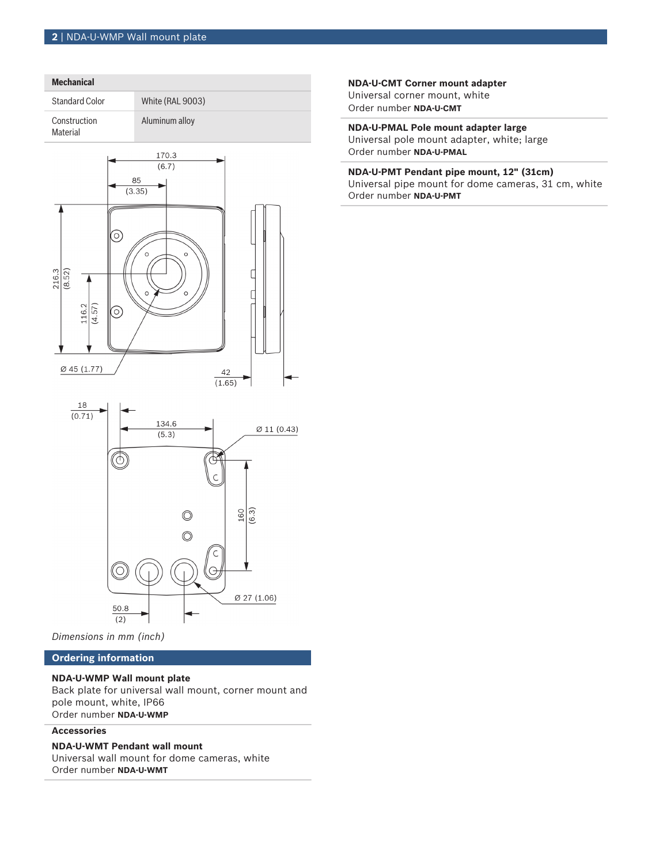

*Dimensions in mm (inch)*

# **Ordering information**

#### **NDA-U-WMP Wall mount plate**

Back plate for universal wall mount, corner mount and pole mount, white, IP66 Order number **NDA-U-WMP**

#### **Accessories**

# **NDA-U-WMT Pendant wall mount**

Universal wall mount for dome cameras, white Order number **NDA-U-WMT**

#### **NDA-U-CMT Corner mount adapter** Universal corner mount, white

Order number **NDA-U-CMT**

**NDA-U-PMAL Pole mount adapter large** Universal pole mount adapter, white; large Order number **NDA-U-PMAL**

**NDA-U-PMT Pendant pipe mount, 12" (31cm)** Universal pipe mount for dome cameras, 31 cm, white Order number **NDA-U-PMT**